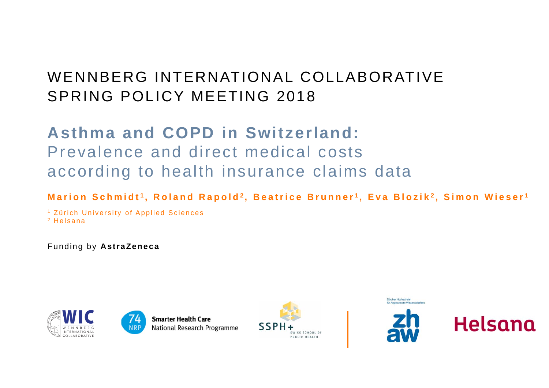## WENNBERG INTERNATIONAL COLLABORATIVESPRING POLICY MEETING 2018

## **Asthma and COPD in Switzerland:**  Prevalence and direct medical costs according to health insurance claims data

### **Marion Schmidt <sup>1</sup> , Roland Rapold 2 , Beatrice Brunner <sup>1</sup> , Eva Blozik 2 , Simon Wieser <sup>1</sup>**

1 Zürich University of Applied Sciences 2 Helsana

Funding by **AstraZeneca**





**Smarter Health Care National Research Programme** 



Zürcher Hochschule **Dr Annewandte Wissenschafter** 



Helsana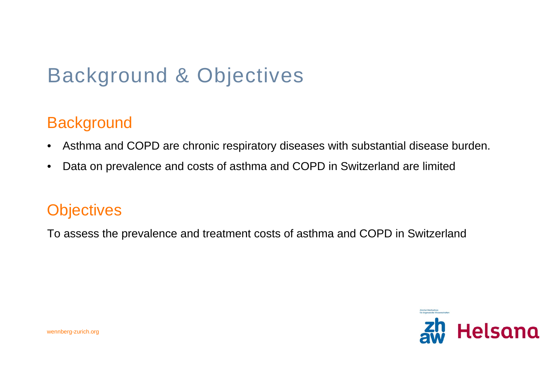# Background & Objectives

### **Background**

- •Asthma and COPD are chronic respiratory diseases with substantial disease burden.
- •Data on prevalence and costs of asthma and COPD in Switzerland are limited

### **Objectives**

To assess the prevalence and treatment costs of asthma and COPD in Switzerland

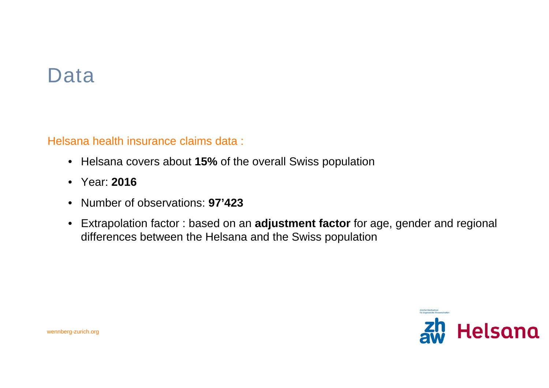## Data

Helsana health insurance claims data :

- Helsana covers about **15%** of the overall Swiss population
- Year: **2016**
- Number of observations: **97'423**
- Extrapolation factor : based on an **adjustment factor** for age, gender and regional differences between the Helsana and the Swiss population

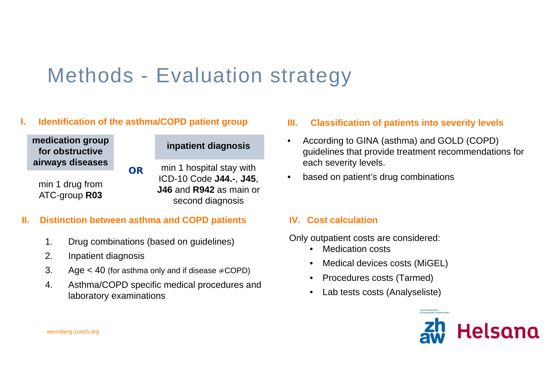# Methods - Evaluation strategy

### **Identification of the asthma/COPD patient group**

**medication group for obstructive airways diseases**

min 1 drug from ATC-group **R03**

#### **inpatient diagnosis**

min 1 hospital stay with ICD-10 Code **J44.-**, **J45**, **J46** and **R942** as main or second diagnosis

### **II. Distinction between asthma and COPD patients**

**OR**

- 1. Drug combinations (based on guidelines)
- 2. Inpatient diagnosis
- 3. Age  $<$  40 (for asthma only and if disease  $\neq$  COPD)
- 4. Asthma/COPD specific medical procedures and laboratory examinations

#### **III. Classification of patients into severity levels**

- $\bullet$  According to GINA (asthma) and GOLD (COPD) guidelines that provide treatment recommendations for each severity levels.
- $\bullet$ based on patient's drug combinations

### **IV. Cost calculation**

Only outpatient costs are considered:

- Medication costs
- •Medical devices costs (MiGEL)
- •Procedures costs (Tarmed)
- •Lab tests costs (Analyseliste)

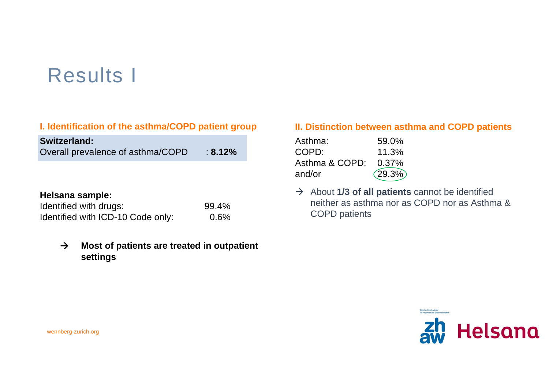# Results I

### **I. Identification of the asthma/COPD patient group**

| <b>Switzerland:</b>               |            |
|-----------------------------------|------------|
| Overall prevalence of asthma/COPD | $: 8.12\%$ |

#### **Helsana sample:**

| Identified with drugs:            | 99.4%   |
|-----------------------------------|---------|
| Identified with ICD-10 Code only: | $0.6\%$ |

#### $\rightarrow$  **Most of patients are treated in outpatient settings**

### **II. Distinction between asthma and COPD patients**

| Asthma:        | 59.0%    |
|----------------|----------|
| COPD:          | 11.3%    |
| Asthma & COPD: | $0.37\%$ |
| and/or         | (29.3%)  |

 $\rightarrow$  About 1/3 of all patients cannot be identified neither as asthma nor as COPD nor as Asthma & COPD patients

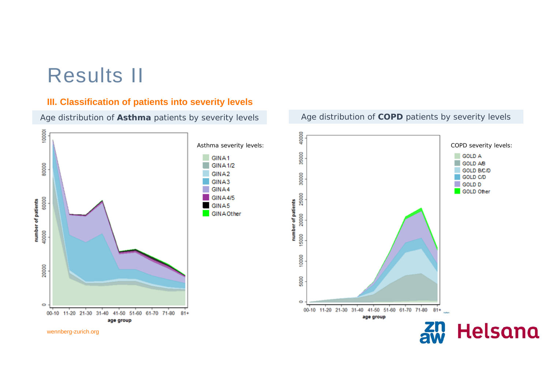## Results II

#### **III. Classification of patients into severity levels**

Age distribution of **Asthma** patients by severity levels



Age distribution of **COPD** patients by severity levels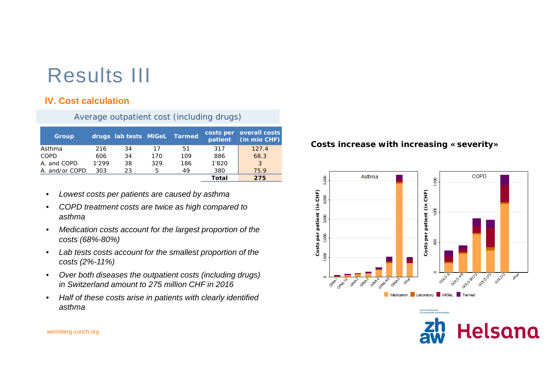# Results III

### **IV. Cost calculation**

Average outpatient cost (including drugs)

| <b>Group</b>   |       | drugs lab tests MiGeL Tarmed |     |     | patient | costs per   overall costs<br>(in mio CHF) |
|----------------|-------|------------------------------|-----|-----|---------|-------------------------------------------|
| Asthma         | 216   | 34                           | 17  | 51  | 317     | 127.4                                     |
| COPD           | 606   | 34                           | 170 | 109 | 886     | 68.3                                      |
| A and COPD     | 1'299 | 38                           | 329 | 186 | 1'820   | 3                                         |
| A. and/or COPD | 303   | 23                           | 5   | 49  | 380     | 75.9                                      |
|                |       |                              |     |     | Total   | 275                                       |

- •*Lowest costs per patients are caused by asthma*
- • *COPD treatment costs are twice as high compared to asthma*
- • *Medication costs account for the largest proportion of the costs (68%-80%)*
- • *Lab tests costs account for the smallest proportion of the costs (2%-11%)*
- $\bullet$  *Over both diseases the outpatient costs (including drugs) in Switzerland amount to 275 million CHF in 2016*
- • *Half of these costs arise in patients with clearly identified asthma*

#### *Costs increase with increasing «severity»*